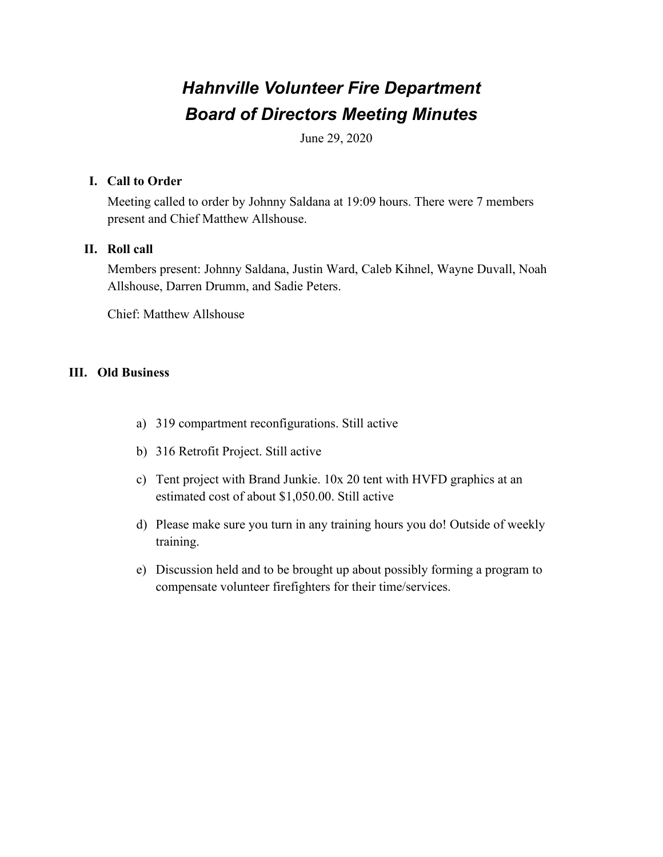# *Hahnville Volunteer Fire Department Board of Directors Meeting Minutes*

June 29, 2020

### **I. Call to Order**

Meeting called to order by Johnny Saldana at 19:09 hours. There were 7 members present and Chief Matthew Allshouse.

#### **II. Roll call**

Members present: Johnny Saldana, Justin Ward, Caleb Kihnel, Wayne Duvall, Noah Allshouse, Darren Drumm, and Sadie Peters.

Chief: Matthew Allshouse

## **III. Old Business**

- a) 319 compartment reconfigurations. Still active
- b) 316 Retrofit Project. Still active
- c) Tent project with Brand Junkie. 10x 20 tent with HVFD graphics at an estimated cost of about \$1,050.00. Still active
- d) Please make sure you turn in any training hours you do! Outside of weekly training.
- e) Discussion held and to be brought up about possibly forming a program to compensate volunteer firefighters for their time/services.